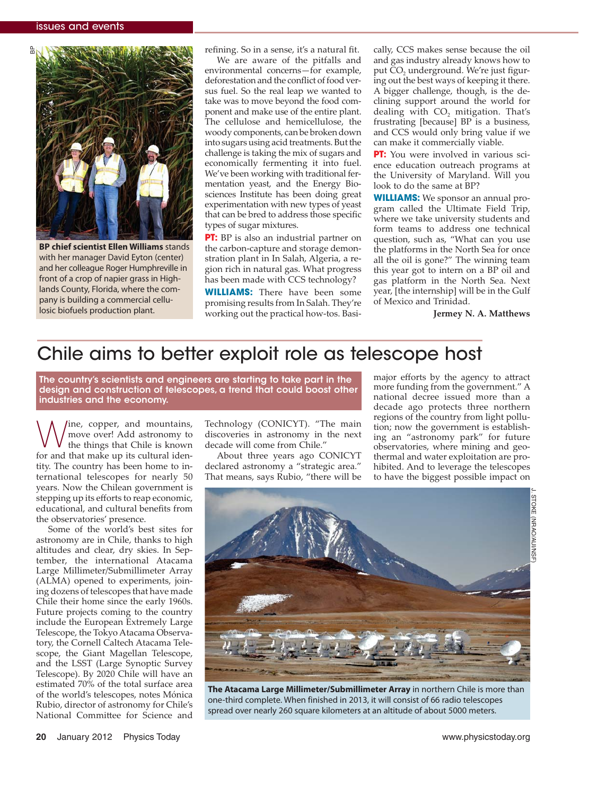

**BP chief scientist Ellen Williams** stands with her manager David Eyton (center) and her colleague Roger Humphreville in front of a crop of napier grass in Highlands County, Florida, where the company is building a commercial cellulosic biofuels production plant.

refining. So in a sense, it's a natural fit.

We are aware of the pitfalls and environmental concerns—for example, deforestation and the conflict of food versus fuel. So the real leap we wanted to take was to move beyond the food component and make use of the entire plant. The cellulose and hemicellulose, the woody components, can be broken down into sugars using acid treatments. But the challenge is taking the mix of sugars and economically fermenting it into fuel. We've been working with traditional fermentation yeast, and the Energy Biosciences Institute has been doing great experimentation with new types of yeast that can be bred to address those specific types of sugar mixtures.

**PT:** BP is also an industrial partner on the carbon-capture and storage demonstration plant in In Salah, Algeria, a region rich in natural gas. What progress has been made with CCS technology?

**WILLIAMS:** There have been some promising results from In Salah. They're working out the practical how-tos. Basically, CCS makes sense because the oil and gas industry already knows how to put CO<sub>2</sub> underground. We're just figuring out the best ways of keeping it there. A bigger challenge, though, is the declining support around the world for dealing with  $CO<sub>2</sub>$  mitigation. That's frustrating [because] BP is a business, and CCS would only bring value if we can make it commercially viable.

**PT:** You were involved in various science education outreach programs at the University of Maryland. Will you look to do the same at BP?

**WILLIAMS:** We sponsor an annual program called the Ultimate Field Trip, where we take university students and form teams to address one technical question, such as, "What can you use the platforms in the North Sea for once all the oil is gone?" The winning team this year got to intern on a BP oil and gas platform in the North Sea. Next year, [the internship] will be in the Gulf of Mexico and Trinidad.

**Jermey N. A. Matthews**

## Chile aims to better exploit role as telescope host

The country's scientists and engineers are starting to take part in the design and construction of telescopes, a trend that could boost other industries and the economy.

Wine, copper, and mountains, move over! Add astronomy to the things that Chile is known for and that make up its cultural identity. The country has been home to international telescopes for nearly 50 years. Now the Chilean government is stepping up its efforts to reap economic, educational, and cultural benefits from the observatories' presence.

Some of the world's best sites for astronomy are in Chile, thanks to high altitudes and clear, dry skies. In September, the international Atacama Large Millimeter/Submillimeter Array (ALMA) opened to experiments, joining dozens of telescopes that have made Chile their home since the early 1960s. Future projects coming to the country include the European Extremely Large Telescope, the Tokyo Atacama Observatory, the Cornell Caltech Atacama Telescope, the Giant Magellan Telescope, and the LSST (Large Synoptic Survey Telescope). By 2020 Chile will have an estimated 70% of the total surface area of the world's telescopes, notes Mónica Rubio, director of astronomy for Chile's National Committee for Science and

Technology (CONICYT). "The main discoveries in astronomy in the next decade will come from Chile."

About three years ago CONICYT declared astronomy a "strategic area." That means, says Rubio, "there will be major efforts by the agency to attract more funding from the government." A national decree issued more than a decade ago protects three northern regions of the country from light pollution; now the government is establishing an "astronomy park" for future observatories, where mining and geothermal and water exploitation are prohibited. And to leverage the telescopes to have the biggest possible impact on



**The Atacama Large Millimeter/Submillimeter Array** in northern Chile is more than one-third complete. When finished in 2013, it will consist of 66 radio telescopes spread over nearly 260 square kilometers at an altitude of about 5000 meters.

J.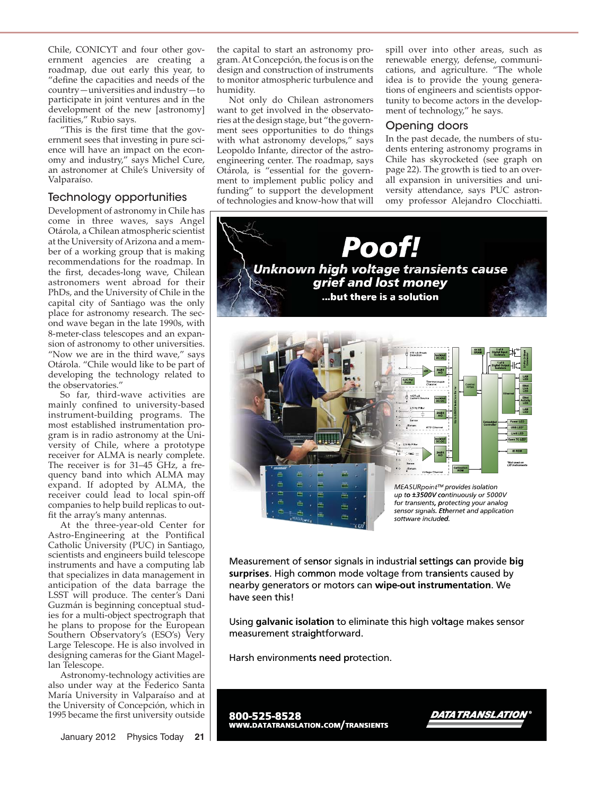ernment agencies are creating a roadmap, due out early this year, to "define the capacities and needs of the country—universities and industry—to participate in joint ventures and in the development of the new [astronomy] facilities," Rubio says.

"This is the first time that the government sees that investing in pure science will have an impact on the economy and industry," says Michel Cure, an astronomer at Chile's University of Valparaíso.

## Technology opportunities

Development of astronomy in Chile has come in three waves, says Angel Otárola, a Chilean atmospheric scientist at the University of Arizona and a member of a working group that is making recommendations for the roadmap. In the first, decades-long wave, Chilean astronomers went abroad for their PhDs, and the University of Chile in the capital city of Santiago was the only place for astronomy research. The second wave began in the late 1990s, with 8- meter-class telescopes and an expansion of astronomy to other universities. "Now we are in the third wave," says Otárola. "Chile would like to be part of developing the technology related to the observatories."

So far, third-wave activities are mainly confined to university-based instrument-building programs. The most established instrumentation program is in radio astronomy at the University of Chile, where a prototype receiver for ALMA is nearly complete. The receiver is for 31–45 GHz, a frequency band into which ALMA may expand. If adopted by ALMA, the receiver could lead to local spin-off companies to help build replicas to outfit the array's many antennas.

At the three-year-old Center for Astro- Engineering at the Pontifical Catholic University (PUC) in Santiago, scientists and engineers build telescope instruments and have a computing lab that specializes in data management in anticipation of the data barrage the LSST will produce. The center's Dani Guzmán is beginning conceptual studies for a multi-object spectrograph that he plans to propose for the European Southern Observatory's (ESO's) Very Large Telescope. He is also involved in designing cameras for the Giant Magellan Telescope.

Astronomy-technology activities are also under way at the Federico Santa María University in Valparaíso and at the University of Concepción, which in 1995 became the first university outside

the capital to start an astronomy program. At Concepción, the focus is on the design and construction of instruments to monitor atmospheric turbulence and humidity.

Not only do Chilean astronomers want to get involved in the observatories at the design stage, but "the government sees opportunities to do things with what astronomy develops," says Leopoldo Infante, director of the astro engineering center. The roadmap, says Otárola, is "essential for the government to implement public policy and funding" to support the development of technologies and know-how that will

spill over into other areas, such as renewable energy, defense, communications, and agriculture. "The whole idea is to provide the young generations of engineers and scientists opportunity to become actors in the development of technology," he says.

## Opening doors

In the past decade, the numbers of students entering astronomy programs in Chile has skyrocketed (see graph on page 22). The growth is tied to an overall expansion in universities and university attendance, says PUC astronomy professor Alejandro Clocchiatti.





Measurement of sensor signals in industri<mark>al settings can pr</mark>ovide **big**<br>surprises. High common mode voltage from transients caused by **surprises**. High common mode voltage from transients caused by<br>pearby generators or motors can **wine-out instrumentation**. We nearby generators or motors can **wipe-out instrumentation**. We<br>have seen this l have seen this!

Using **galvanic isolation** to eliminate this high voltage makes sensor<br>measurement straightforward measurement straightforward.

Harsh environments need protection.

**800-525-8528 WWW.DATATRANSLATION.COM/TRANSIENTS WWW.DATATRANSLATION**



January 2012 Physics Today **21**